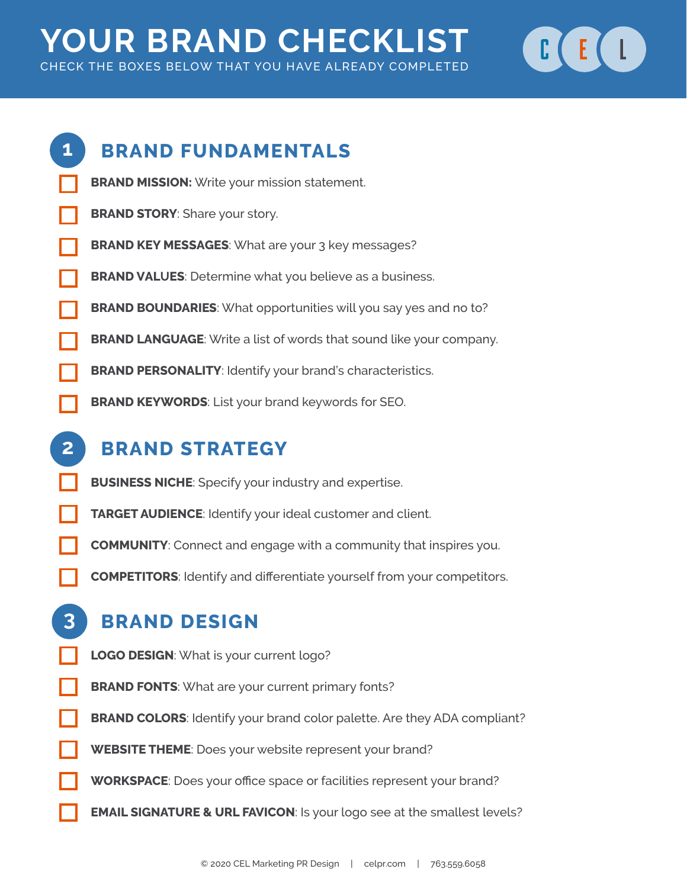# **YOUR BRAND CHECKLIST** CHECK THE BOXES BELOW THAT YOU HAVE ALREADY COMPLETED





# **BRAND STRATEGY**

- **BUSINESS NICHE**: Specify your industry and expertise.
- **TARGET AUDIENCE**: Identify your ideal customer and client.
- **COMMUNITY**: Connect and engage with a community that inspires you.
- **COMPETITORS**: Identify and differentiate yourself from your competitors.

# **BRAND DESIGN**

**3**

- **LOGO DESIGN**: What is your current logo?
- **BRAND FONTS:** What are your current primary fonts?
- **BRAND COLORS:** Identify your brand color palette. Are they ADA compliant?
- **WEBSITE THEME**: Does your website represent your brand?
- **WORKSPACE**: Does your office space or facilities represent your brand?
- **EMAIL SIGNATURE & URL FAVICON: Is your logo see at the smallest levels?**